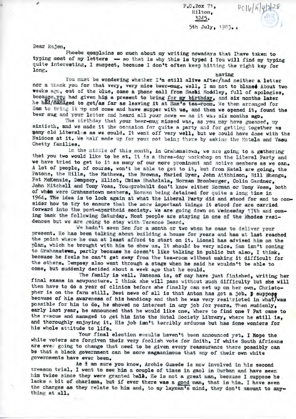$P O$ . Box  $71$ , Hilton. 3245. 5th July. 1985..

 $PClb|6|4|228$ 

Dear Rajen,

z

Phoebe complains so much about my writing nowadays that Ihave taken to typing most of my letters -- so that is why this is typed ! You will find my typing quite interesting, I suspect, because I don't often keep hitting the right key for  $long.$ having

You must be wondering whether I'm still alive after/had neither a letter nor a thenk you for that very, very nice beer-mug. Well, I am not to blamed About two weeks ago, out of the blue, came a phone call from Sashi Moddley, full of apologies, because you had given him a present to bring for my birthday, and six months later he had/managed to get/as far as leaving it at Sam's tea-room. We then arranged for Sam to bring it up and come and have supper with us, and then we opened it, found the beer mug and your letter and heard all your news - as it was six months ago.

The birthday that your beer-mug missed was, as you may have guessed, my sixtieth, and we made it the occasion for quite a party and for getting together as many old Liberalss as we could. It went off very well, but we could have dome with the Naidoos at it. We half made up for your not being there by asking the Motela and Vasu Chetty families.

In the middle of this month, in Grahamstown, we are going to a gathering that you two would like to be at. It is a three-day workshop on the Liberal Party and we have tried to get to it as many of our more prominent and active members as we can. A lot of people, of course, won't be able to get to it, but from Natal are going, the Patons, the Hills, the Mathews, the Browns, Maried Dyer, John Aithhison, Bill Bhengu, Pat McKenzie, Dempsey, Elliot, Chins Shabalala, Norman Bromberger, Colin Gardner, John Mitchell and Tony Voss. Youmprobablt don't know either Norman or Tony Voss, both of whom were Grahamstown members, Norman being detained for quite a long time in 1964. The idea is to look again at what the Liberal Party did and stood for and to consider how to try to ensure that the more important things it stood for are carried forward into the post-apartheid society. We are going down on Wednesday 17th and coming back the following Saturday. Most people are staying in one of the Rhodes residences but we are going to stay with Terence Beard.

We hadn't seen Szm for a month or two when he came to deliver your present. He has been talking about building a house for years and has at last reached the point where he can at least afford to start on it. Lionel has advised him on the plan, which he brought with him to show us. It should be very nice. Sam isn't coming to Grahamstwun, partly because he doesn't like talking in public but also, I think, because he feels he can't get away from the tea-room without making it difficult for the others. Dempsey also went through a stage when he said he wouldn't be able to come, but suddenly decided about a week ago that he could.

The family is well. Vanessa is, of may have just finished, writing her final exams in acupuncture. I think she will pass without much difficulty but she will then have to do a year of clinics before she finally can set up on her own. Christopher is on the farm still. Best news of all is that Anton has got a job. p suppose because of his awareness of his handicap and that he was very resitricted in what/was possible for him to do, he showed no interest in any job for years. Then suddenly, early last year, he announced that he would like one. Where to find one ? Pat came to the rescue and managed to get him into the Natal Society Library, where he still is, and thoroughly enjoying it. His job isn't terribly arduous but has done wonders for his whole attitude to life.

Your final election mesults haven't been announced yet. I Hope the white voters are forgiven their very foolish vote for Smith. If white South Africans are ever going to change that need to be given every reassurance there possibly can be that a black government can be more magaanimous that any of their own white governments have ever been.

As I am sure you know, Archie Gumede is now involved in his second treason trial. I went to see him a couple of times in gaol in Durban and have seen him twice since they were granted ball. He is not a great man, because I suppose he. lacks a bit of charisma, but if ever there was a good man, that is him. I have seen the charges as they relate to him and, to my layman's mind, they don't amount to anything at all.